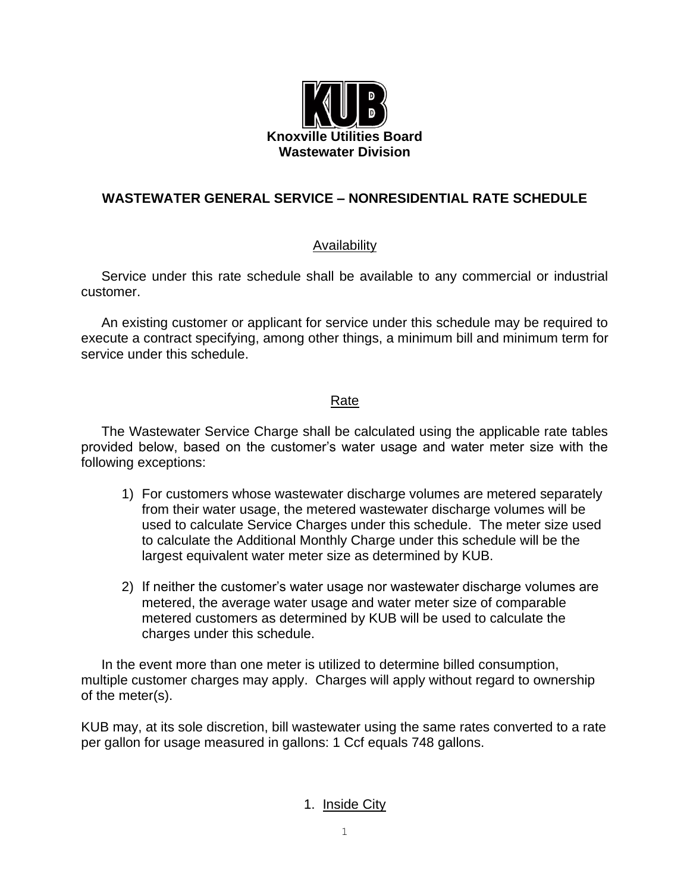

## **WASTEWATER GENERAL SERVICE – NONRESIDENTIAL RATE SCHEDULE**

### Availability

Service under this rate schedule shall be available to any commercial or industrial customer.

An existing customer or applicant for service under this schedule may be required to execute a contract specifying, among other things, a minimum bill and minimum term for service under this schedule.

### Rate

The Wastewater Service Charge shall be calculated using the applicable rate tables provided below, based on the customer's water usage and water meter size with the following exceptions:

- 1) For customers whose wastewater discharge volumes are metered separately from their water usage, the metered wastewater discharge volumes will be used to calculate Service Charges under this schedule. The meter size used to calculate the Additional Monthly Charge under this schedule will be the largest equivalent water meter size as determined by KUB.
- 2) If neither the customer's water usage nor wastewater discharge volumes are metered, the average water usage and water meter size of comparable metered customers as determined by KUB will be used to calculate the charges under this schedule.

In the event more than one meter is utilized to determine billed consumption, multiple customer charges may apply. Charges will apply without regard to ownership of the meter(s).

KUB may, at its sole discretion, bill wastewater using the same rates converted to a rate per gallon for usage measured in gallons: 1 Ccf equals 748 gallons.

#### 1. Inside City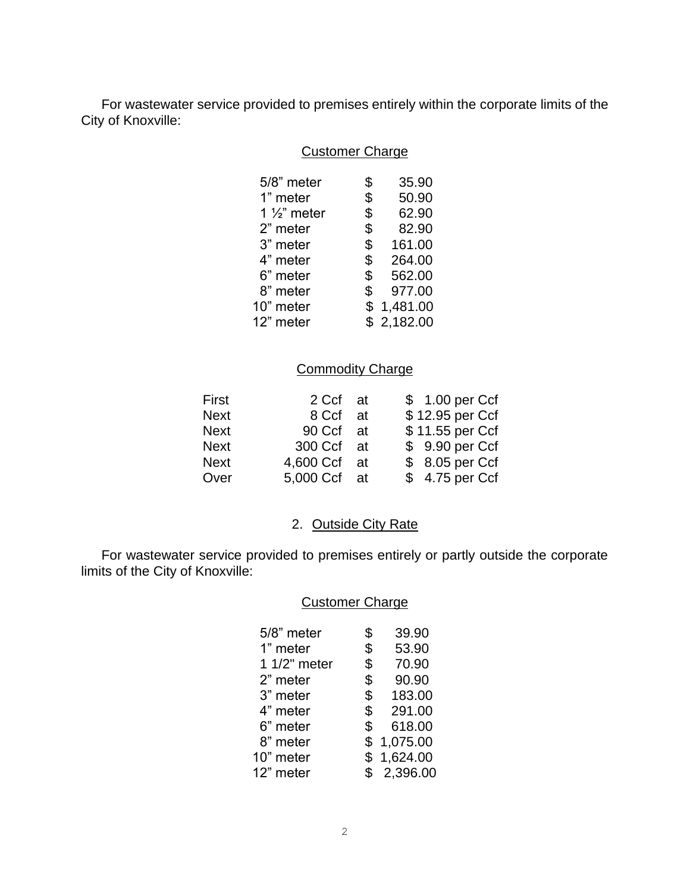For wastewater service provided to premises entirely within the corporate limits of the City of Knoxville:

## Customer Charge

| 5/8" meter              | \$             | 35.90      |
|-------------------------|----------------|------------|
| 1" meter                | \$             | 50.90      |
| 1 $\frac{1}{2}$ " meter | \$             | 62.90      |
| 2" meter                | \$             | 82.90      |
| 3" meter                | \$             | 161.00     |
| 4" meter                | $\mathfrak{S}$ | 264.00     |
| 6" meter                | \$             | 562.00     |
| 8" meter                | \$             | 977.00     |
| 10" meter               | \$             | 1,481.00   |
| 12" meter               |                | \$2,182.00 |
|                         |                |            |

# **Commodity Charge**

| First       | 2 Ccf at     | \$ 1.00 per Ccf |
|-------------|--------------|-----------------|
| <b>Next</b> | 8 Ccf at     | \$12.95 per Ccf |
| <b>Next</b> | 90 Ccf at    | \$11.55 per Ccf |
| <b>Next</b> | 300 Ccf at   | \$9.90 per Ccf  |
| <b>Next</b> | 4,600 Ccf at | \$ 8.05 per Ccf |
| Over        | 5,000 Ccf at | \$4.75 per Ccf  |

## 2. Outside City Rate

For wastewater service provided to premises entirely or partly outside the corporate limits of the City of Knoxville:

### Customer Charge

| 5/8" meter   | \$<br>39.90    |
|--------------|----------------|
| 1" meter     | \$<br>53.90    |
| 1 1/2" meter | \$<br>70.90    |
| 2" meter     | \$<br>90.90    |
| 3" meter     | \$<br>183.00   |
| 4" meter     | \$<br>291.00   |
| 6" meter     | \$<br>618.00   |
| 8" meter     | \$<br>1,075.00 |
| 10" meter    | \$1,624.00     |
| 12" meter    | \$<br>2,396.00 |